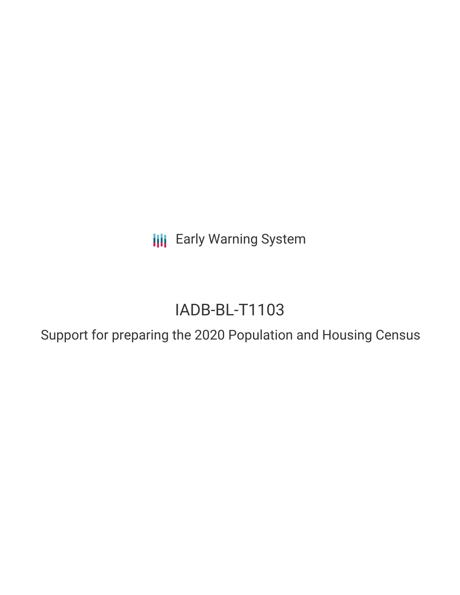**III** Early Warning System

# IADB-BL-T1103

Support for preparing the 2020 Population and Housing Census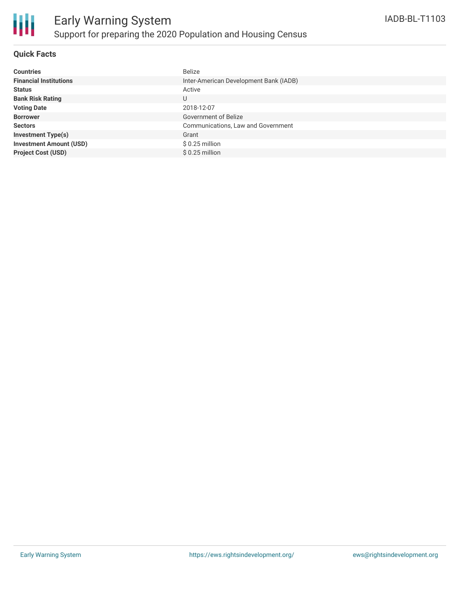

#### **Quick Facts**

| <b>Countries</b>               | <b>Belize</b>                          |
|--------------------------------|----------------------------------------|
| <b>Financial Institutions</b>  | Inter-American Development Bank (IADB) |
| <b>Status</b>                  | Active                                 |
| <b>Bank Risk Rating</b>        | U                                      |
| <b>Voting Date</b>             | 2018-12-07                             |
| <b>Borrower</b>                | <b>Government of Belize</b>            |
| <b>Sectors</b>                 | Communications, Law and Government     |
| <b>Investment Type(s)</b>      | Grant                                  |
| <b>Investment Amount (USD)</b> | $$0.25$ million                        |
| <b>Project Cost (USD)</b>      | $$0.25$ million                        |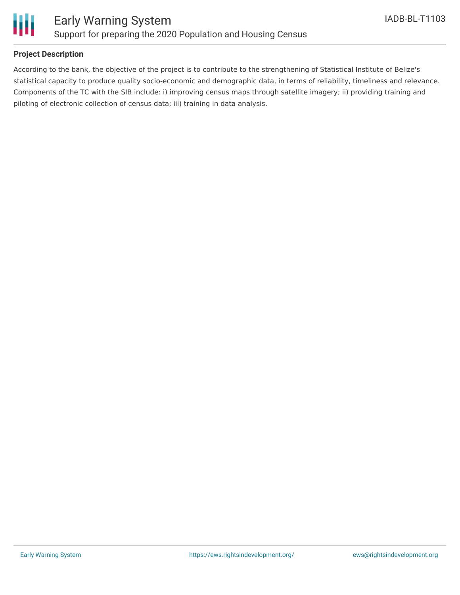

#### **Project Description**

According to the bank, the objective of the project is to contribute to the strengthening of Statistical Institute of Belize's statistical capacity to produce quality socio-economic and demographic data, in terms of reliability, timeliness and relevance. Components of the TC with the SIB include: i) improving census maps through satellite imagery; ii) providing training and piloting of electronic collection of census data; iii) training in data analysis.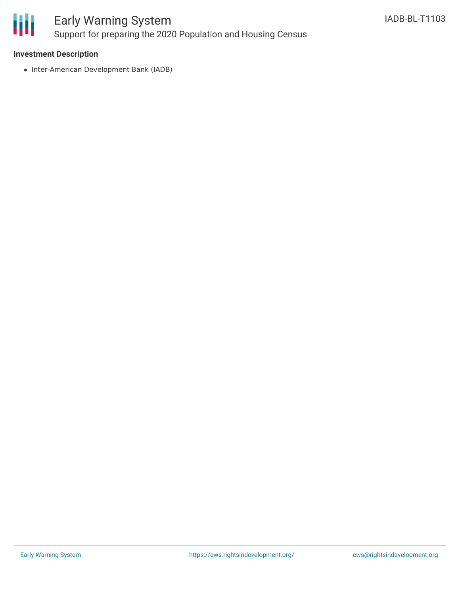

## Early Warning System Support for preparing the 2020 Population and Housing Census

#### **Investment Description**

• Inter-American Development Bank (IADB)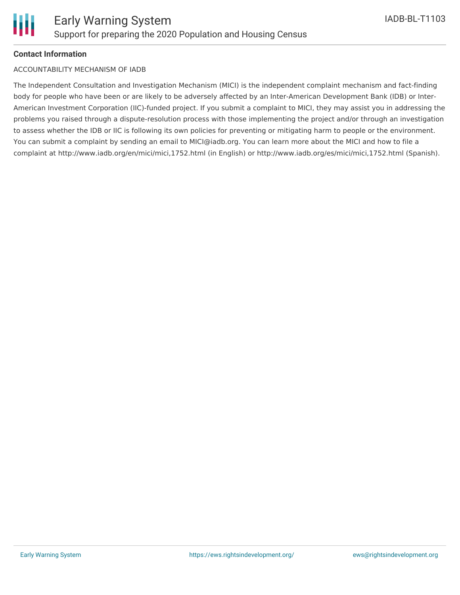### **Contact Information**

#### ACCOUNTABILITY MECHANISM OF IADB

The Independent Consultation and Investigation Mechanism (MICI) is the independent complaint mechanism and fact-finding body for people who have been or are likely to be adversely affected by an Inter-American Development Bank (IDB) or Inter-American Investment Corporation (IIC)-funded project. If you submit a complaint to MICI, they may assist you in addressing the problems you raised through a dispute-resolution process with those implementing the project and/or through an investigation to assess whether the IDB or IIC is following its own policies for preventing or mitigating harm to people or the environment. You can submit a complaint by sending an email to MICI@iadb.org. You can learn more about the MICI and how to file a complaint at http://www.iadb.org/en/mici/mici,1752.html (in English) or http://www.iadb.org/es/mici/mici,1752.html (Spanish).